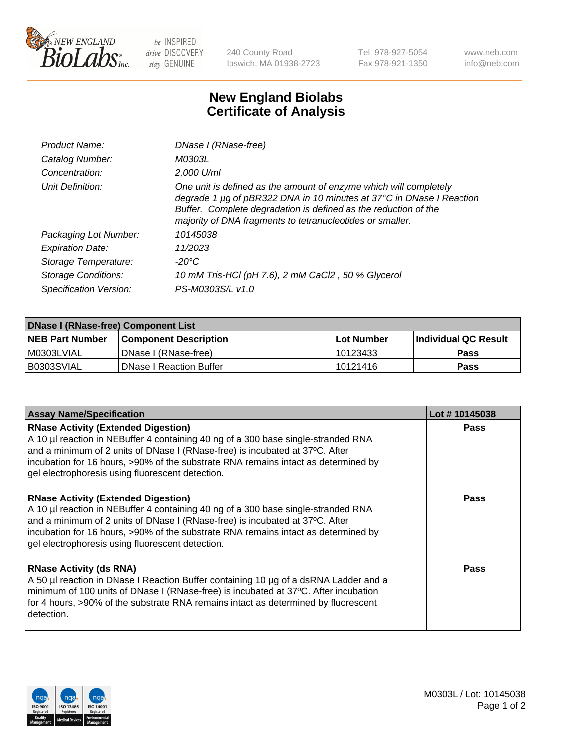

be INSPIRED drive DISCOVERY stay GENUINE

240 County Road Ipswich, MA 01938-2723 Tel 978-927-5054 Fax 978-921-1350 www.neb.com info@neb.com

## **New England Biolabs Certificate of Analysis**

| Product Name:              | DNase I (RNase-free)                                                                                                                                                                                                                                                      |
|----------------------------|---------------------------------------------------------------------------------------------------------------------------------------------------------------------------------------------------------------------------------------------------------------------------|
| Catalog Number:            | M0303L                                                                                                                                                                                                                                                                    |
| Concentration:             | 2,000 U/ml                                                                                                                                                                                                                                                                |
| Unit Definition:           | One unit is defined as the amount of enzyme which will completely<br>degrade 1 µg of pBR322 DNA in 10 minutes at 37°C in DNase I Reaction<br>Buffer. Complete degradation is defined as the reduction of the<br>majority of DNA fragments to tetranucleotides or smaller. |
| Packaging Lot Number:      | 10145038                                                                                                                                                                                                                                                                  |
| <b>Expiration Date:</b>    | 11/2023                                                                                                                                                                                                                                                                   |
| Storage Temperature:       | -20°C                                                                                                                                                                                                                                                                     |
| <b>Storage Conditions:</b> | 10 mM Tris-HCl (pH 7.6), 2 mM CaCl2, 50 % Glycerol                                                                                                                                                                                                                        |
| Specification Version:     | PS-M0303S/L v1.0                                                                                                                                                                                                                                                          |

| <b>DNase I (RNase-free) Component List</b> |                                |            |                             |  |  |
|--------------------------------------------|--------------------------------|------------|-----------------------------|--|--|
| <b>NEB Part Number</b>                     | <b>Component Description</b>   | Lot Number | <b>Individual QC Result</b> |  |  |
| I M0303LVIAL                               | DNase I (RNase-free)           | 10123433   | <b>Pass</b>                 |  |  |
| I B0303SVIAL                               | <b>DNase I Reaction Buffer</b> | 10121416   | <b>Pass</b>                 |  |  |

| <b>Assay Name/Specification</b>                                                                                                                                                                                                                                                                                                                           | Lot #10145038 |
|-----------------------------------------------------------------------------------------------------------------------------------------------------------------------------------------------------------------------------------------------------------------------------------------------------------------------------------------------------------|---------------|
| <b>RNase Activity (Extended Digestion)</b><br>A 10 µl reaction in NEBuffer 4 containing 40 ng of a 300 base single-stranded RNA<br>and a minimum of 2 units of DNase I (RNase-free) is incubated at 37°C. After<br>incubation for 16 hours, >90% of the substrate RNA remains intact as determined by<br>gel electrophoresis using fluorescent detection. | <b>Pass</b>   |
| <b>RNase Activity (Extended Digestion)</b><br>A 10 µl reaction in NEBuffer 4 containing 40 ng of a 300 base single-stranded RNA<br>and a minimum of 2 units of DNase I (RNase-free) is incubated at 37°C. After<br>incubation for 16 hours, >90% of the substrate RNA remains intact as determined by<br>gel electrophoresis using fluorescent detection. | <b>Pass</b>   |
| <b>RNase Activity (ds RNA)</b><br>A 50 µl reaction in DNase I Reaction Buffer containing 10 µg of a dsRNA Ladder and a<br>minimum of 100 units of DNase I (RNase-free) is incubated at 37°C. After incubation<br>for 4 hours, >90% of the substrate RNA remains intact as determined by fluorescent<br>detection.                                         | <b>Pass</b>   |